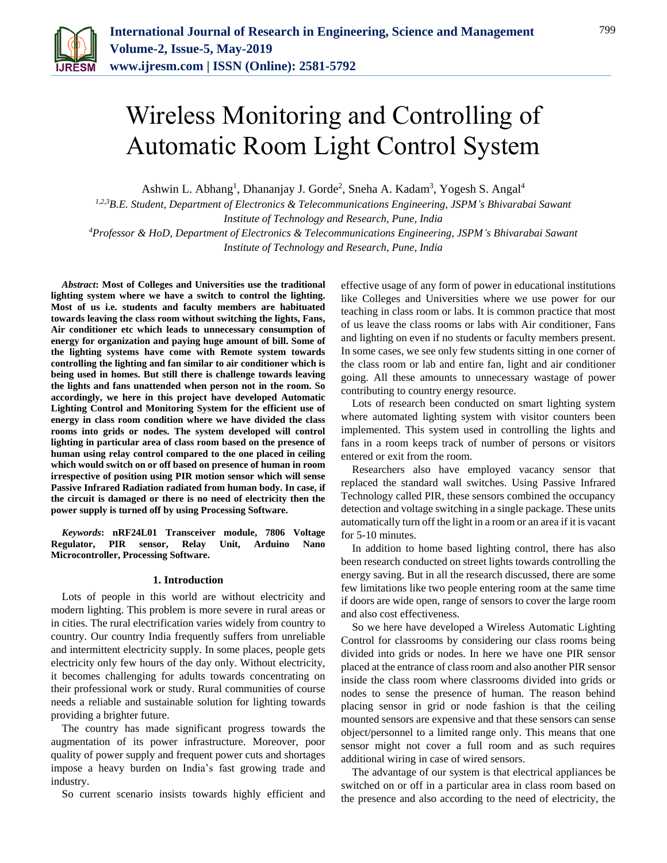

# Wireless Monitoring and Controlling of Automatic Room Light Control System

Ashwin L. Abhang<sup>1</sup>, Dhananjay J. Gorde<sup>2</sup>, Sneha A. Kadam<sup>3</sup>, Yogesh S. Angal<sup>4</sup>

*1,2,3B.E. Student, Department of Electronics & Telecommunications Engineering, JSPM's Bhivarabai Sawant Institute of Technology and Research, Pune, India*

*<sup>4</sup>Professor & HoD, Department of Electronics & Telecommunications Engineering, JSPM's Bhivarabai Sawant Institute of Technology and Research, Pune, India*

*Abstract***: Most of Colleges and Universities use the traditional lighting system where we have a switch to control the lighting. Most of us i.e. students and faculty members are habituated towards leaving the class room without switching the lights, Fans, Air conditioner etc which leads to unnecessary consumption of energy for organization and paying huge amount of bill. Some of the lighting systems have come with Remote system towards controlling the lighting and fan similar to air conditioner which is being used in homes. But still there is challenge towards leaving the lights and fans unattended when person not in the room. So accordingly, we here in this project have developed Automatic Lighting Control and Monitoring System for the efficient use of energy in class room condition where we have divided the class rooms into grids or nodes. The system developed will control lighting in particular area of class room based on the presence of human using relay control compared to the one placed in ceiling which would switch on or off based on presence of human in room irrespective of position using PIR motion sensor which will sense Passive Infrared Radiation radiated from human body. In case, if the circuit is damaged or there is no need of electricity then the power supply is turned off by using Processing Software.**

*Keywords***: nRF24L01 Transceiver module, 7806 Voltage Regulator, PIR sensor, Relay Unit, Arduino Nano Microcontroller, Processing Software.**

### **1. Introduction**

Lots of people in this world are without electricity and modern lighting. This problem is more severe in rural areas or in cities. The rural electrification varies widely from country to country. Our country India frequently suffers from unreliable and intermittent electricity supply. In some places, people gets electricity only few hours of the day only. Without electricity, it becomes challenging for adults towards concentrating on their professional work or study. Rural communities of course needs a reliable and sustainable solution for lighting towards providing a brighter future.

The country has made significant progress towards the augmentation of its power infrastructure. Moreover, poor quality of power supply and frequent power cuts and shortages impose a heavy burden on India's fast growing trade and industry.

So current scenario insists towards highly efficient and

effective usage of any form of power in educational institutions like Colleges and Universities where we use power for our teaching in class room or labs. It is common practice that most of us leave the class rooms or labs with Air conditioner, Fans and lighting on even if no students or faculty members present. In some cases, we see only few students sitting in one corner of the class room or lab and entire fan, light and air conditioner going. All these amounts to unnecessary wastage of power contributing to country energy resource.

Lots of research been conducted on smart lighting system where automated lighting system with visitor counters been implemented. This system used in controlling the lights and fans in a room keeps track of number of persons or visitors entered or exit from the room.

Researchers also have employed vacancy sensor that replaced the standard wall switches. Using Passive Infrared Technology called PIR, these sensors combined the occupancy detection and voltage switching in a single package. These units automatically turn off the light in a room or an area if it is vacant for 5-10 minutes.

In addition to home based lighting control, there has also been research conducted on street lights towards controlling the energy saving. But in all the research discussed, there are some few limitations like two people entering room at the same time if doors are wide open, range of sensors to cover the large room and also cost effectiveness.

So we here have developed a Wireless Automatic Lighting Control for classrooms by considering our class rooms being divided into grids or nodes. In here we have one PIR sensor placed at the entrance of class room and also another PIR sensor inside the class room where classrooms divided into grids or nodes to sense the presence of human. The reason behind placing sensor in grid or node fashion is that the ceiling mounted sensors are expensive and that these sensors can sense object/personnel to a limited range only. This means that one sensor might not cover a full room and as such requires additional wiring in case of wired sensors.

The advantage of our system is that electrical appliances be switched on or off in a particular area in class room based on the presence and also according to the need of electricity, the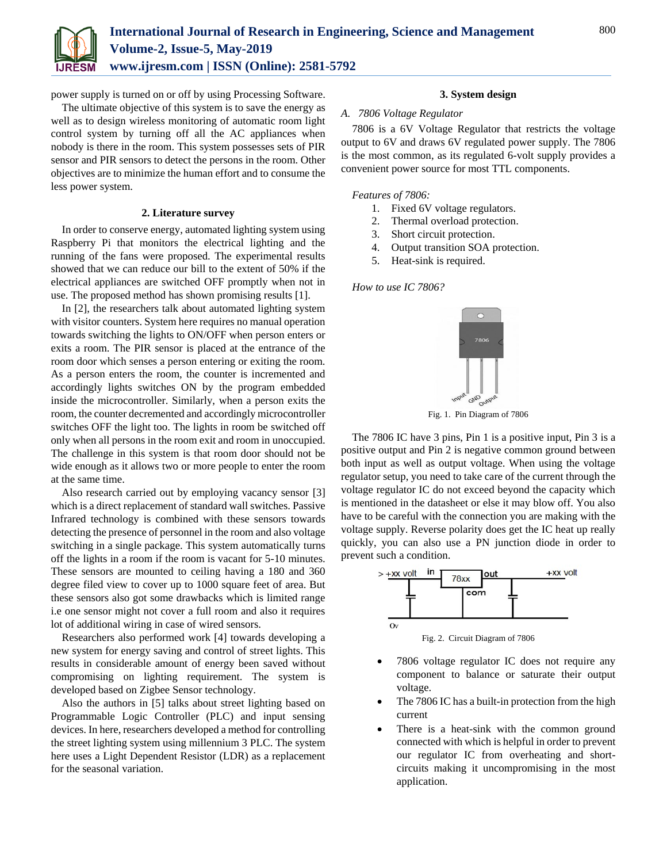

power supply is turned on or off by using Processing Software.

The ultimate objective of this system is to save the energy as well as to design wireless monitoring of automatic room light control system by turning off all the AC appliances when nobody is there in the room. This system possesses sets of PIR sensor and PIR sensors to detect the persons in the room. Other objectives are to minimize the human effort and to consume the less power system.

### **2. Literature survey**

In order to conserve energy, automated lighting system using Raspberry Pi that monitors the electrical lighting and the running of the fans were proposed. The experimental results showed that we can reduce our bill to the extent of 50% if the electrical appliances are switched OFF promptly when not in use. The proposed method has shown promising results [1].

In [2], the researchers talk about automated lighting system with visitor counters. System here requires no manual operation towards switching the lights to ON/OFF when person enters or exits a room. The PIR sensor is placed at the entrance of the room door which senses a person entering or exiting the room. As a person enters the room, the counter is incremented and accordingly lights switches ON by the program embedded inside the microcontroller. Similarly, when a person exits the room, the counter decremented and accordingly microcontroller switches OFF the light too. The lights in room be switched off only when all persons in the room exit and room in unoccupied. The challenge in this system is that room door should not be wide enough as it allows two or more people to enter the room at the same time.

Also research carried out by employing vacancy sensor [3] which is a direct replacement of standard wall switches. Passive Infrared technology is combined with these sensors towards detecting the presence of personnel in the room and also voltage switching in a single package. This system automatically turns off the lights in a room if the room is vacant for 5-10 minutes. These sensors are mounted to ceiling having a 180 and 360 degree filed view to cover up to 1000 square feet of area. But these sensors also got some drawbacks which is limited range i.e one sensor might not cover a full room and also it requires lot of additional wiring in case of wired sensors.

Researchers also performed work [4] towards developing a new system for energy saving and control of street lights. This results in considerable amount of energy been saved without compromising on lighting requirement. The system is developed based on Zigbee Sensor technology.

Also the authors in [5] talks about street lighting based on Programmable Logic Controller (PLC) and input sensing devices. In here, researchers developed a method for controlling the street lighting system using millennium 3 PLC. The system here uses a Light Dependent Resistor (LDR) as a replacement for the seasonal variation.

## **3. System design**

## *A. 7806 Voltage Regulator*

7806 is a 6V Voltage Regulator that restricts the voltage output to 6V and draws 6V regulated power supply. The 7806 is the most common, as its regulated 6-volt supply provides a convenient power source for most TTL components.

### *Features of 7806:*

- 1. Fixed 6V voltage regulators.
- 2. Thermal overload protection.
- 3. Short circuit protection.
- 4. Output transition SOA protection.
- 5. Heat-sink is required.

*How to use IC 7806?*



Fig. 1. Pin Diagram of 7806

The 7806 IC have 3 pins, Pin 1 is a positive input, Pin 3 is a positive output and Pin 2 is negative common ground between both input as well as output voltage. When using the voltage regulator setup, you need to take care of the current through the voltage regulator IC do not exceed beyond the capacity which is mentioned in the datasheet or else it may blow off. You also have to be careful with the connection you are making with the voltage supply. Reverse polarity does get the IC heat up really quickly, you can also use a PN junction diode in order to prevent such a condition.



Fig. 2. Circuit Diagram of 7806

- 7806 voltage regulator IC does not require any component to balance or saturate their output voltage.
- The 7806 IC has a built-in protection from the high current
- There is a heat-sink with the common ground connected with which is helpful in order to prevent our regulator IC from overheating and shortcircuits making it uncompromising in the most application.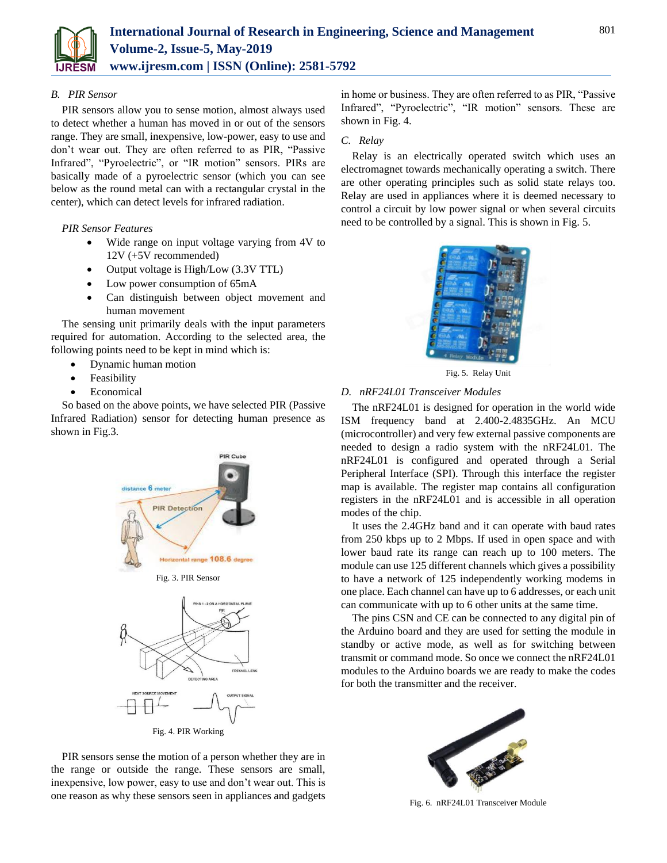

## *B. PIR Sensor*

PIR sensors allow you to sense motion, almost always used to detect whether a human has moved in or out of the sensors range. They are small, inexpensive, low-power, easy to use and don't wear out. They are often referred to as PIR, "Passive Infrared", "Pyroelectric", or "IR motion" sensors. PIRs are basically made of a pyroelectric sensor (which you can see below as the round metal can with a rectangular crystal in the center), which can detect levels for infrared radiation.

*PIR Sensor Features*

- Wide range on input voltage varying from 4V to 12V (+5V recommended)
- Output voltage is High/Low (3.3V TTL)
- Low power consumption of 65mA
- Can distinguish between object movement and human movement

The sensing unit primarily deals with the input parameters required for automation. According to the selected area, the following points need to be kept in mind which is:

- Dynamic human motion
- Feasibility
- Economical

So based on the above points, we have selected PIR (Passive Infrared Radiation) sensor for detecting human presence as shown in Fig.3.



PIR sensors sense the motion of a person whether they are in the range or outside the range. These sensors are small, inexpensive, low power, easy to use and don't wear out. This is one reason as why these sensors seen in appliances and gadgets

in home or business. They are often referred to as PIR, "Passive Infrared", "Pyroelectric", "IR motion" sensors. These are shown in Fig. 4.

## *C. Relay*

Relay is an electrically operated switch which uses an electromagnet towards mechanically operating a switch. There are other operating principles such as solid state relays too. Relay are used in appliances where it is deemed necessary to control a circuit by low power signal or when several circuits need to be controlled by a signal. This is shown in Fig. 5.



Fig. 5. Relay Unit

# *D. nRF24L01 Transceiver Modules*

The nRF24L01 is designed for operation in the world wide ISM frequency band at 2.400-2.4835GHz. An MCU (microcontroller) and very few external passive components are needed to design a radio system with the nRF24L01. The nRF24L01 is configured and operated through a Serial Peripheral Interface (SPI). Through this interface the register map is available. The register map contains all configuration registers in the nRF24L01 and is accessible in all operation modes of the chip.

It uses the 2.4GHz band and it can operate with baud rates from 250 kbps up to 2 Mbps. If used in open space and with lower baud rate its range can reach up to 100 meters. The module can use 125 different channels which gives a possibility to have a network of 125 independently working modems in one place. Each channel can have up to 6 addresses, or each unit can communicate with up to 6 other units at the same time.

The pins CSN and CE can be connected to any digital pin of the Arduino board and they are used for setting the module in standby or active mode, as well as for switching between transmit or command mode. So once we connect the nRF24L01 modules to the Arduino boards we are ready to make the codes for both the transmitter and the receiver.



Fig. 6. nRF24L01 Transceiver Module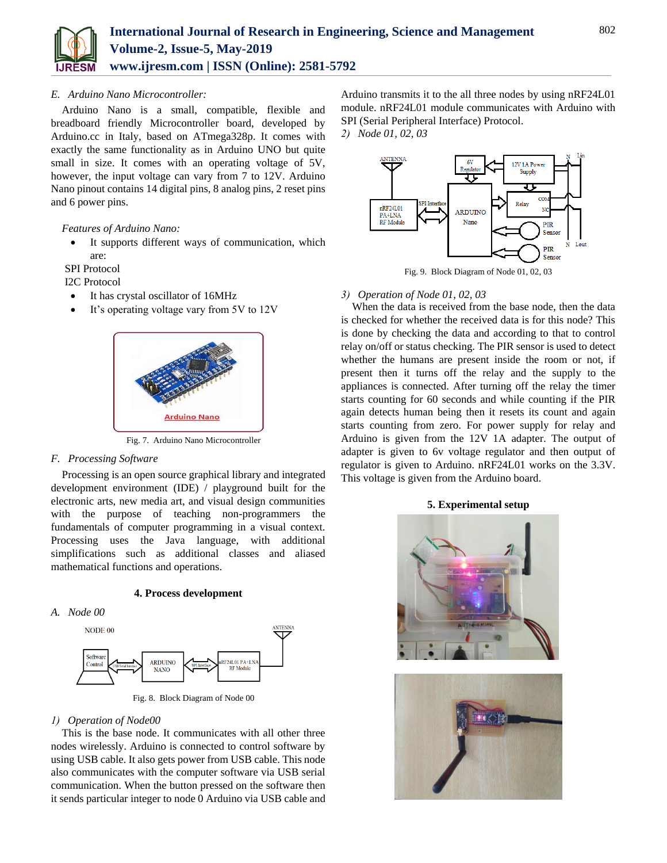

# *E. Arduino Nano Microcontroller:*

Arduino Nano is a small, compatible, flexible and breadboard friendly Microcontroller board, developed by Arduino.cc in Italy, based on ATmega328p. It comes with exactly the same functionality as in Arduino UNO but quite small in size. It comes with an operating voltage of 5V, however, the input voltage can vary from 7 to 12V. Arduino Nano pinout contains 14 digital pins, 8 analog pins, 2 reset pins and 6 power pins.

*Features of Arduino Nano:*

 It supports different ways of communication, which are:

SPI Protocol

I2C Protocol

- It has crystal oscillator of 16MHz
- It's operating voltage vary from 5V to 12V



Fig. 7. Arduino Nano Microcontroller

# *F. Processing Software*

Processing is an open source graphical library and integrated development environment (IDE) / playground built for the electronic arts, new media art, and visual design communities with the purpose of teaching non-programmers the fundamentals of computer programming in a visual context. Processing uses the Java language, with additional simplifications such as additional classes and aliased mathematical functions and operations.

**4. Process development**





Fig. 8. Block Diagram of Node 00

# *1) Operation of Node00*

This is the base node. It communicates with all other three nodes wirelessly. Arduino is connected to control software by using USB cable. It also gets power from USB cable. This node also communicates with the computer software via USB serial communication. When the button pressed on the software then it sends particular integer to node 0 Arduino via USB cable and Arduino transmits it to the all three nodes by using nRF24L01 module. nRF24L01 module communicates with Arduino with SPI (Serial Peripheral Interface) Protocol.

*2) Node 01, 02, 03*



Fig. 9. Block Diagram of Node 01, 02, 03

# *3) Operation of Node 01, 02, 03*

When the data is received from the base node, then the data is checked for whether the received data is for this node? This is done by checking the data and according to that to control relay on/off or status checking. The PIR sensor is used to detect whether the humans are present inside the room or not, if present then it turns off the relay and the supply to the appliances is connected. After turning off the relay the timer starts counting for 60 seconds and while counting if the PIR again detects human being then it resets its count and again starts counting from zero. For power supply for relay and Arduino is given from the 12V 1A adapter. The output of adapter is given to 6v voltage regulator and then output of regulator is given to Arduino. nRF24L01 works on the 3.3V. This voltage is given from the Arduino board.

## **5. Experimental setup**